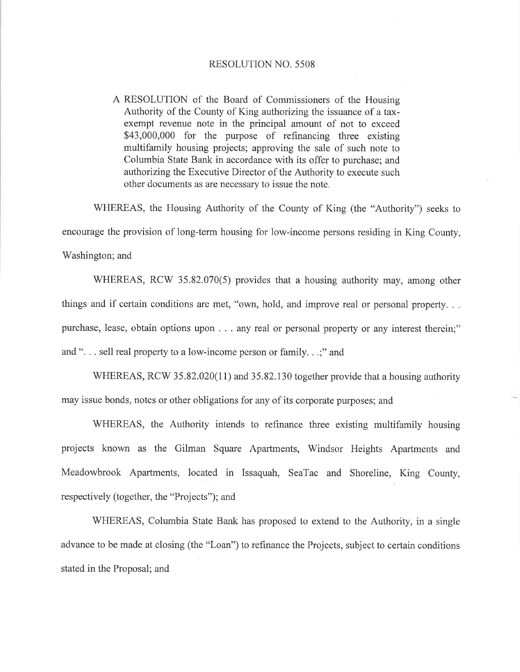A RESOLUTION of the Board of Commissioners of the Housing Authority of the County of King authorizing the issuance of a taxexempt revenue note in the principal amount of not to exceed \$43,000,000 for the purpose of refinancing three existing multifamily housing projects; approving the sale of such note to Columbia State Bank in accordance with its offer to purchase; and authorizing the Executive Director of the Authority to execute such other documents as are necessary to issue the note.

WHEREAS, the Housing Authority of the County of King (the "Authority") seeks to encourage the provision of long-term housing for low-income persons residing in King County, Washington; and

WHEREAS, RCW 35.82.070(5) provides that a housing authority may, among other things and if certain conditions are met, "own, hold, and improve real or personal property... purchase, lease, obtain options upon . . . any real or personal property or any interest therein;" and "... sell real property to a low-income person or family...;" and

WHEREAS, RCW 35.82.020(11) and 35.82.130 together provide that a housing authority may issue bonds, notes or other obligations for any of its corporate purposes; and

WHEREAS, the Authority intends to refinance three existing multifamily housing projects known as the Gilman Square Apartments, Windsor Heights Apartments and Meadowbrook Apartments, located in Issaquah, SeaTac and Shoreline, King County, respectively (together, the "Projects"); and

WHEREAS, Columbia State Bank has proposed to extend to the Authority, in a single advance to be made at closing (the "Loan") to refinance the Projects, subject to certain conditions stated in the Proposal; and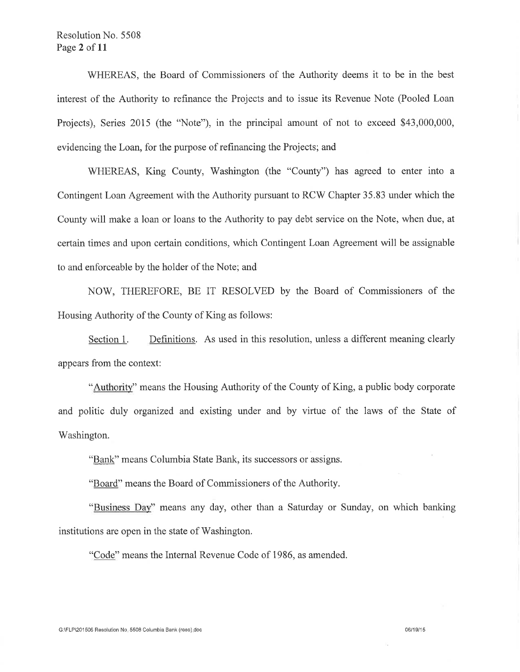WHEREAS, the Board of Commissioners of the Authority deems it to be in the best interest of the Authority to refinance the Projects and to issue its Revenue Note (Pooled Loan Projects). Series 2015 (the "Note"), in the principal amount of not to exceed \$43,000,000, evidencing the Loan, for the purpose of refinancing the Projects; and

WHEREAS, King County, Washington (the "County") has agreed to enter into a Contingent Loan Agreement with the Authority pursuant to RCW Chapter 35.83 under which the County will make a loan or loans to the Authority to pay debt service on the Note, when due, at certain times and upon certain conditions, which Contingent Loan Agreement will be assignable to and enforceable by the holder of the Note; and

NOW, THEREFORE, BE IT RESOLVED by the Board of Commissioners of the Housing Authority of the County of King as follows:

Definitions. As used in this resolution, unless a different meaning clearly Section 1. appears from the context:

"Authority" means the Housing Authority of the County of King, a public body corporate and politic duly organized and existing under and by virtue of the laws of the State of Washington.

"Bank" means Columbia State Bank, its successors or assigns.

"Board" means the Board of Commissioners of the Authority.

"Business Day" means any day, other than a Saturday or Sunday, on which banking institutions are open in the state of Washington.

"Code" means the Internal Revenue Code of 1986, as amended.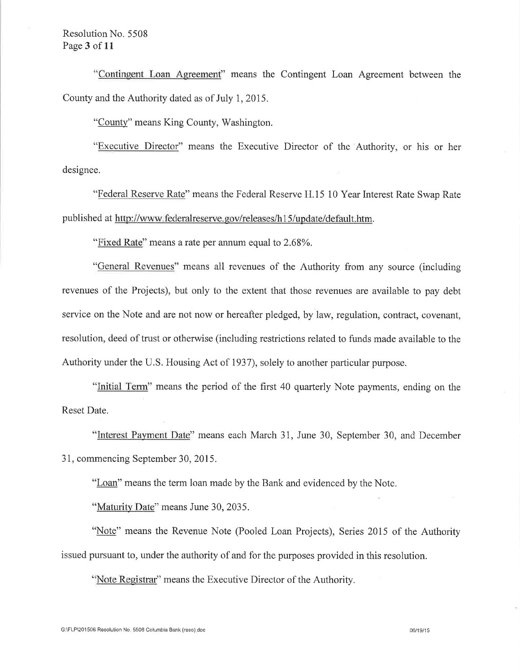"Contingent Loan Agreement" means the Contingent Loan Agreement between the County and the Authority dated as of July 1, 2015.

"County" means King County, Washington.

"Executive Director" means the Executive Director of the Authority, or his or her designee.

"Federal Reserve Rate" means the Federal Reserve H.15 10 Year Interest Rate Swap Rate published at http://www.federalreserve.gov/releases/h15/update/default.htm.

"Fixed Rate" means a rate per annum equal to 2.68%.

"General Revenues" means all revenues of the Authority from any source (including revenues of the Projects), but only to the extent that those revenues are available to pay debt service on the Note and are not now or hereafter pledged, by law, regulation, contract, covenant, resolution, deed of trust or otherwise (including restrictions related to funds made available to the Authority under the U.S. Housing Act of 1937), solely to another particular purpose.

"Initial Term" means the period of the first 40 quarterly Note payments, ending on the Reset Date.

"Interest Payment Date" means each March 31, June 30, September 30, and December 31, commencing September 30, 2015.

"Loan" means the term loan made by the Bank and evidenced by the Note.

"Maturity Date" means June 30, 2035.

"Note" means the Revenue Note (Pooled Loan Projects), Series 2015 of the Authority issued pursuant to, under the authority of and for the purposes provided in this resolution.

"Note Registrar" means the Executive Director of the Authority.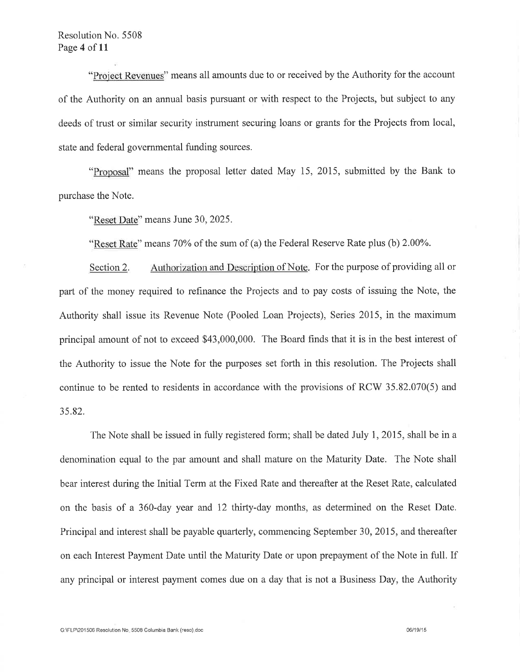"Project Revenues" means all amounts due to or received by the Authority for the account of the Authority on an annual basis pursuant or with respect to the Projects, but subject to any deeds of trust or similar security instrument securing loans or grants for the Projects from local, state and federal governmental funding sources.

"Proposal" means the proposal letter dated May 15, 2015, submitted by the Bank to purchase the Note.

"Reset Date" means June 30, 2025.

"Reset Rate" means 70% of the sum of (a) the Federal Reserve Rate plus (b) 2.00%.

Authorization and Description of Note. For the purpose of providing all or Section 2. part of the money required to refinance the Projects and to pay costs of issuing the Note, the Authority shall issue its Revenue Note (Pooled Loan Projects), Series 2015, in the maximum principal amount of not to exceed \$43,000,000. The Board finds that it is in the best interest of the Authority to issue the Note for the purposes set forth in this resolution. The Projects shall continue to be rented to residents in accordance with the provisions of RCW 35.82.070(5) and 35.82.

The Note shall be issued in fully registered form; shall be dated July 1, 2015, shall be in a denomination equal to the par amount and shall mature on the Maturity Date. The Note shall bear interest during the Initial Term at the Fixed Rate and thereafter at the Reset Rate, calculated on the basis of a 360-day year and 12 thirty-day months, as determined on the Reset Date. Principal and interest shall be payable quarterly, commencing September 30, 2015, and thereafter on each Interest Payment Date until the Maturity Date or upon prepayment of the Note in full. If any principal or interest payment comes due on a day that is not a Business Day, the Authority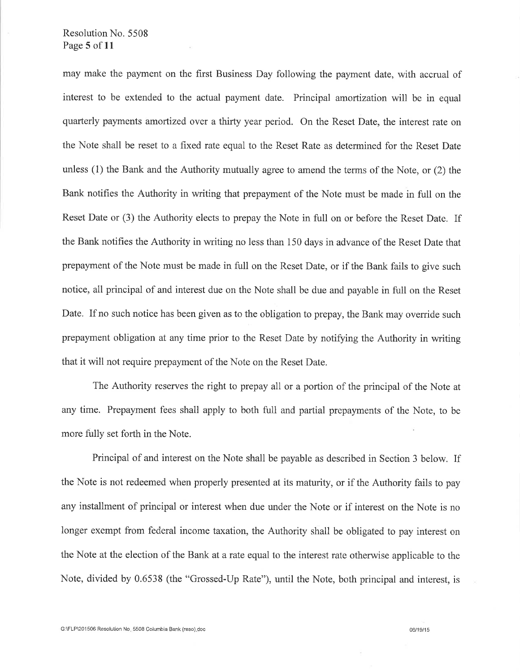#### Resolution No. 5508 Page 5 of 11

may make the payment on the first Business Day following the payment date, with accrual of interest to be extended to the actual payment date. Principal amortization will be in equal quarterly payments amortized over a thirty year period. On the Reset Date, the interest rate on the Note shall be reset to a fixed rate equal to the Reset Rate as determined for the Reset Date unless (1) the Bank and the Authority mutually agree to amend the terms of the Note, or (2) the Bank notifies the Authority in writing that prepayment of the Note must be made in full on the Reset Date or (3) the Authority elects to prepay the Note in full on or before the Reset Date. If the Bank notifies the Authority in writing no less than 150 days in advance of the Reset Date that prepayment of the Note must be made in full on the Reset Date, or if the Bank fails to give such notice, all principal of and interest due on the Note shall be due and payable in full on the Reset Date. If no such notice has been given as to the obligation to prepay, the Bank may override such prepayment obligation at any time prior to the Reset Date by notifying the Authority in writing that it will not require prepayment of the Note on the Reset Date.

The Authority reserves the right to prepay all or a portion of the principal of the Note at any time. Prepayment fees shall apply to both full and partial prepayments of the Note, to be more fully set forth in the Note.

Principal of and interest on the Note shall be payable as described in Section 3 below. If the Note is not redeemed when properly presented at its maturity, or if the Authority fails to pay any installment of principal or interest when due under the Note or if interest on the Note is no longer exempt from federal income taxation, the Authority shall be obligated to pay interest on the Note at the election of the Bank at a rate equal to the interest rate otherwise applicable to the Note, divided by 0.6538 (the "Grossed-Up Rate"), until the Note, both principal and interest, is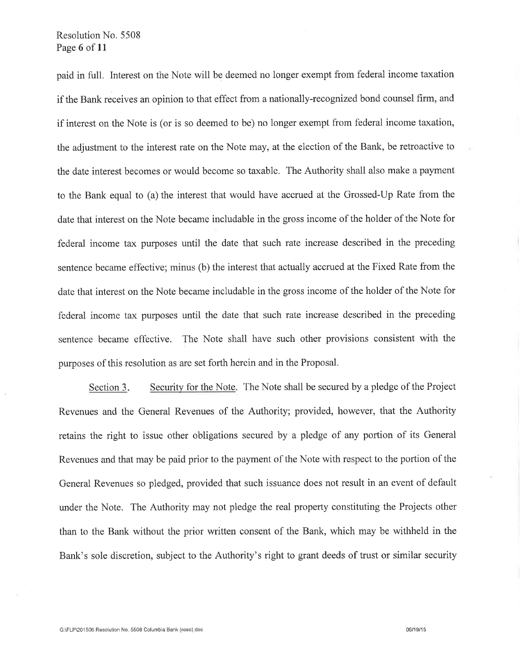paid in full. Interest on the Note will be deemed no longer exempt from federal income taxation if the Bank receives an opinion to that effect from a nationally-recognized bond counsel firm, and if interest on the Note is (or is so deemed to be) no longer exempt from federal income taxation, the adjustment to the interest rate on the Note may, at the election of the Bank, be retroactive to the date interest becomes or would become so taxable. The Authority shall also make a payment to the Bank equal to (a) the interest that would have accrued at the Grossed-Up Rate from the date that interest on the Note became includable in the gross income of the holder of the Note for federal income tax purposes until the date that such rate increase described in the preceding sentence became effective; minus (b) the interest that actually accrued at the Fixed Rate from the date that interest on the Note became includable in the gross income of the holder of the Note for federal income tax purposes until the date that such rate increase described in the preceding sentence became effective. The Note shall have such other provisions consistent with the purposes of this resolution as are set forth herein and in the Proposal.

Security for the Note. The Note shall be secured by a pledge of the Project Section 3. Revenues and the General Revenues of the Authority; provided, however, that the Authority retains the right to issue other obligations secured by a pledge of any portion of its General Revenues and that may be paid prior to the payment of the Note with respect to the portion of the General Revenues so pledged, provided that such issuance does not result in an event of default under the Note. The Authority may not pledge the real property constituting the Projects other than to the Bank without the prior written consent of the Bank, which may be withheld in the Bank's sole discretion, subject to the Authority's right to grant deeds of trust or similar security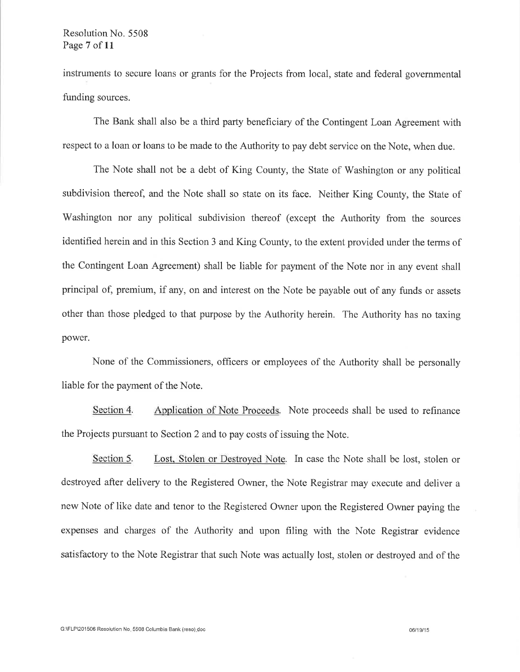#### Resolution No. 5508 Page 7 of 11

instruments to secure loans or grants for the Projects from local, state and federal governmental funding sources.

The Bank shall also be a third party beneficiary of the Contingent Loan Agreement with respect to a loan or loans to be made to the Authority to pay debt service on the Note, when due.

The Note shall not be a debt of King County, the State of Washington or any political subdivision thereof, and the Note shall so state on its face. Neither King County, the State of Washington nor any political subdivision thereof (except the Authority from the sources identified herein and in this Section 3 and King County, to the extent provided under the terms of the Contingent Loan Agreement) shall be liable for payment of the Note nor in any event shall principal of, premium, if any, on and interest on the Note be payable out of any funds or assets other than those pledged to that purpose by the Authority herein. The Authority has no taxing power.

None of the Commissioners, officers or employees of the Authority shall be personally liable for the payment of the Note.

Section 4 Application of Note Proceeds. Note proceeds shall be used to refinance the Projects pursuant to Section 2 and to pay costs of issuing the Note.

Section 5. Lost, Stolen or Destroyed Note. In case the Note shall be lost, stolen or destroyed after delivery to the Registered Owner, the Note Registrar may execute and deliver a new Note of like date and tenor to the Registered Owner upon the Registered Owner paying the expenses and charges of the Authority and upon filing with the Note Registrar evidence satisfactory to the Note Registrar that such Note was actually lost, stolen or destroyed and of the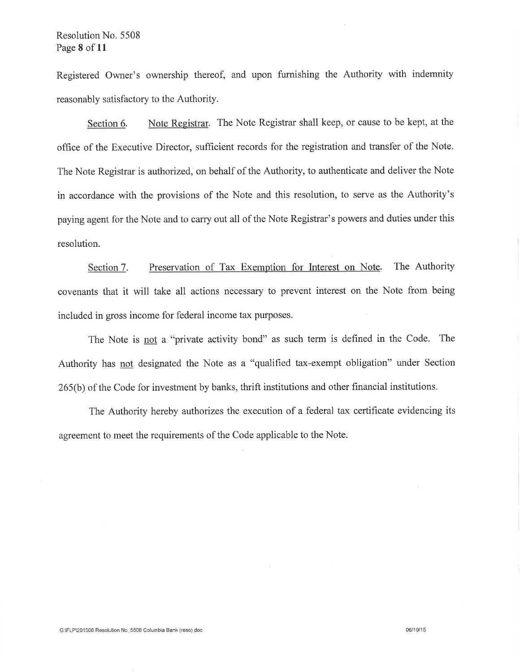Registered Owner's ownership thereof, and upon furnishing the Authority with indemnity reasonably satisfactory to the Authority.

Note Registrar. The Note Registrar shall keep, or cause to be kept, at the Section 6. office of the Executive Director, sufficient records for the registration and transfer of the Note. The Note Registrar is authorized, on behalf of the Authority, to authenticate and deliver the Note in accordance with the provisions of the Note and this resolution, to serve as the Authority's paying agent for the Note and to carry out all of the Note Registrar's powers and duties under this resolution.

Preservation of Tax Exemption for Interest on Note. The Authority Section 7. covenants that it will take all actions necessary to prevent interest on the Note from being included in gross income for federal income tax purposes.

The Note is not a "private activity bond" as such term is defined in the Code. The Authority has not designated the Note as a "qualified tax-exempt obligation" under Section 265(b) of the Code for investment by banks, thrift institutions and other financial institutions.

The Authority hereby authorizes the execution of a federal tax certificate evidencing its agreement to meet the requirements of the Code applicable to the Note.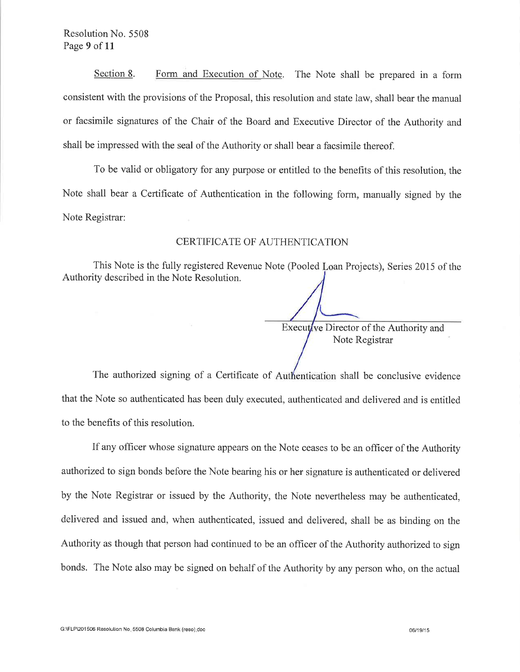Section 8. Form and Execution of Note. The Note shall be prepared in a form consistent with the provisions of the Proposal, this resolution and state law, shall bear the manual or facsimile signatures of the Chair of the Board and Executive Director of the Authority and shall be impressed with the seal of the Authority or shall bear a facsimile thereof.

To be valid or obligatory for any purpose or entitled to the benefits of this resolution, the Note shall bear a Certificate of Authentication in the following form, manually signed by the Note Registrar:

#### CERTIFICATE OF AUTHENTICATION

This Note is the fully registered Revenue Note (Pooled Loan Projects), Series 2015 of the Authority described in the Note Resolution.

> Executive Director of the Authority and Note Registrar

The authorized signing of a Certificate of Authentication shall be conclusive evidence that the Note so authenticated has been duly executed, authenticated and delivered and is entitled to the benefits of this resolution.

If any officer whose signature appears on the Note ceases to be an officer of the Authority authorized to sign bonds before the Note bearing his or her signature is authenticated or delivered by the Note Registrar or issued by the Authority, the Note nevertheless may be authenticated, delivered and issued and, when authenticated, issued and delivered, shall be as binding on the Authority as though that person had continued to be an officer of the Authority authorized to sign bonds. The Note also may be signed on behalf of the Authority by any person who, on the actual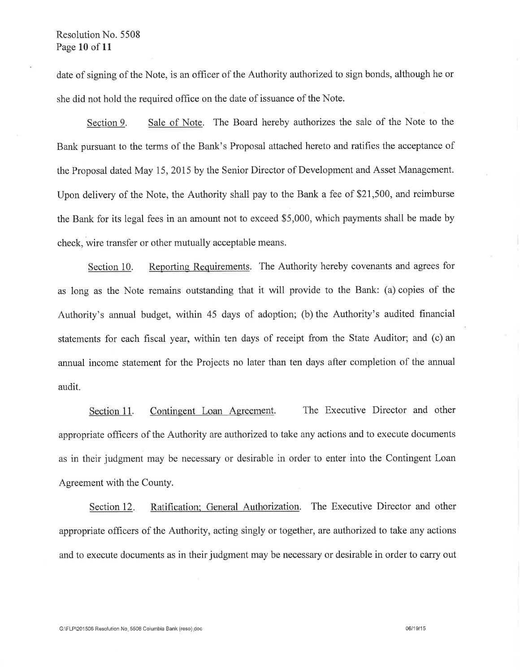date of signing of the Note, is an officer of the Authority authorized to sign bonds, although he or she did not hold the required office on the date of issuance of the Note.

Sale of Note. The Board hereby authorizes the sale of the Note to the Section 9. Bank pursuant to the terms of the Bank's Proposal attached hereto and ratifies the acceptance of the Proposal dated May 15, 2015 by the Senior Director of Development and Asset Management. Upon delivery of the Note, the Authority shall pay to the Bank a fee of \$21,500, and reimburse the Bank for its legal fees in an amount not to exceed \$5,000, which payments shall be made by check, wire transfer or other mutually acceptable means.

Reporting Requirements. The Authority hereby covenants and agrees for Section 10. as long as the Note remains outstanding that it will provide to the Bank: (a) copies of the Authority's annual budget, within 45 days of adoption; (b) the Authority's audited financial statements for each fiscal year, within ten days of receipt from the State Auditor; and (c) an annual income statement for the Projects no later than ten days after completion of the annual audit.

Section 11. Contingent Loan Agreement. The Executive Director and other appropriate officers of the Authority are authorized to take any actions and to execute documents as in their judgment may be necessary or desirable in order to enter into the Contingent Loan Agreement with the County.

Ratification; General Authorization. The Executive Director and other Section 12. appropriate officers of the Authority, acting singly or together, are authorized to take any actions and to execute documents as in their judgment may be necessary or desirable in order to carry out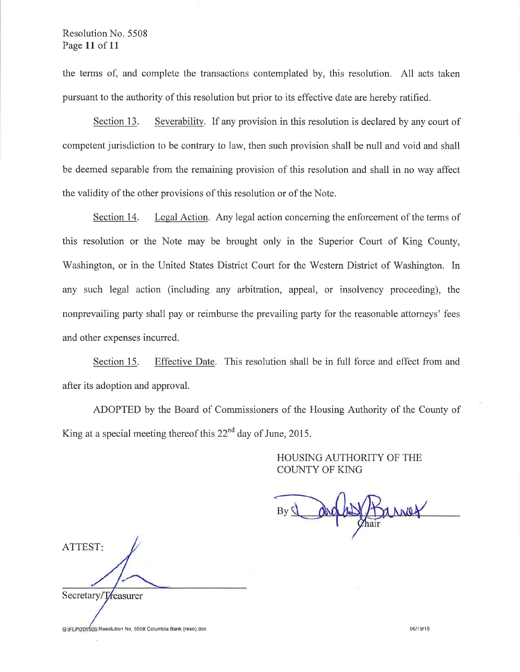#### Resolution No. 5508 Page 11 of 11

the terms of, and complete the transactions contemplated by, this resolution. All acts taken pursuant to the authority of this resolution but prior to its effective date are hereby ratified.

Section 13. Severability. If any provision in this resolution is declared by any court of competent jurisdiction to be contrary to law, then such provision shall be null and void and shall be deemed separable from the remaining provision of this resolution and shall in no way affect the validity of the other provisions of this resolution or of the Note.

Legal Action. Any legal action concerning the enforcement of the terms of Section 14. this resolution or the Note may be brought only in the Superior Court of King County, Washington, or in the United States District Court for the Western District of Washington. In any such legal action (including any arbitration, appeal, or insolvency proceeding), the nonprevailing party shall pay or reimburse the prevailing party for the reasonable attorneys' fees and other expenses incurred.

Section 15. Effective Date. This resolution shall be in full force and effect from and after its adoption and approval.

ADOPTED by the Board of Commissioners of the Housing Authority of the County of King at a special meeting thereof this  $22<sup>nd</sup>$  day of June, 2015.

> HOUSING AUTHORITY OF THE **COUNTY OF KING**

arros  $By$ 

ATTEST: Secretary/Treasurer

G:\FLP\201506 Resolution No. 5508 Columbia Bank (reso).doc

06/19/15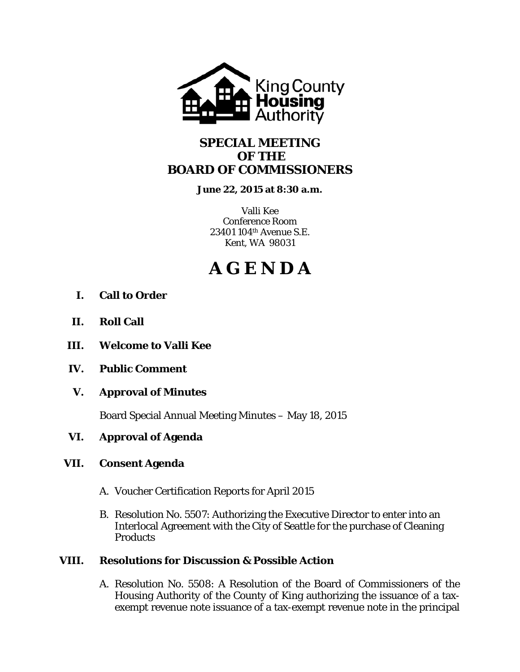

## **SPECIAL MEETING OF THE BOARD OF COMMISSIONERS**

**June 22, 2015 at 8:30 a.m.** 

Valli Kee Conference Room 23401 104th Avenue S.E. Kent, WA 98031

# **A G E N D A**

- **I. Call to Order**
- **II. Roll Call**
- **III. Welcome to Valli Kee**
- **IV. Public Comment**
- **V. Approval of Minutes**

Board Special Annual Meeting Minutes – May 18, 2015

## **VI. Approval of Agenda**

## **VII. Consent Agenda**

- A. Voucher Certification Reports for April 2015
- B. Resolution No. 5507: Authorizing the Executive Director to enter into an Interlocal Agreement with the City of Seattle for the purchase of Cleaning **Products**

## **VIII. Resolutions for Discussion & Possible Action**

A. Resolution No. 5508: A Resolution of the Board of Commissioners of the Housing Authority of the County of King authorizing the issuance of a taxexempt revenue note issuance of a tax-exempt revenue note in the principal